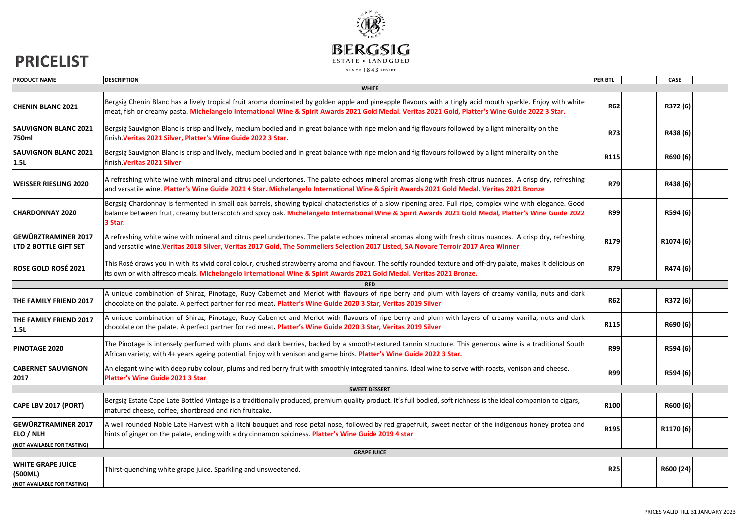

## **PRICELIST**

| PRODUCT NAME                                                           | <b>DESCRIPTION</b>                                                                                                                                                                                                                                                                                                            | PER BTL    | CASE      |  |  |  |
|------------------------------------------------------------------------|-------------------------------------------------------------------------------------------------------------------------------------------------------------------------------------------------------------------------------------------------------------------------------------------------------------------------------|------------|-----------|--|--|--|
| <b>WHITE</b>                                                           |                                                                                                                                                                                                                                                                                                                               |            |           |  |  |  |
| <b>CHENIN BLANC 2021</b>                                               | Bergsig Chenin Blanc has a lively tropical fruit aroma dominated by golden apple and pineapple flavours with a tingly acid mouth sparkle. Enjoy with white<br>meat, fish or creamy pasta. Michelangelo International Wine & Spirit Awards 2021 Gold Medal. Veritas 2021 Gold, Platter's Wine Guide 2022 3 Star.               | <b>R62</b> | R372 (6)  |  |  |  |
| <b>SAUVIGNON BLANC 2021</b><br>750ml                                   | Bergsig Sauvignon Blanc is crisp and lively, medium bodied and in great balance with ripe melon and fig flavours followed by a light minerality on the<br>finish. Veritas 2021 Silver, Platter's Wine Guide 2022 3 Star.                                                                                                      | <b>R73</b> | R438 (6)  |  |  |  |
| <b>SAUVIGNON BLANC 2021</b><br>1.5L                                    | Bergsig Sauvignon Blanc is crisp and lively, medium bodied and in great balance with ripe melon and fig flavours followed by a light minerality on the<br>finish. Veritas 2021 Silver                                                                                                                                         | R115       | R690 (6)  |  |  |  |
| <b>WEISSER RIESLING 2020</b>                                           | A refreshing white wine with mineral and citrus peel undertones. The palate echoes mineral aromas along with fresh citrus nuances. A crisp dry, refreshing<br>and versatile wine. Platter's Wine Guide 2021 4 Star. Michelangelo International Wine & Spirit Awards 2021 Gold Medal. Veritas 2021 Bronze                      | <b>R79</b> | R438 (6)  |  |  |  |
| <b>CHARDONNAY 2020</b>                                                 | Bergsig Chardonnay is fermented in small oak barrels, showing typical chatacteristics of a slow ripening area. Full ripe, complex wine with elegance. Good<br>balance between fruit, creamy butterscotch and spicy oak. Michelangelo International Wine & Spirit Awards 2021 Gold Medal, Platter's Wine Guide 2022<br>3 Star. | <b>R99</b> | R594 (6)  |  |  |  |
| <b>GEWÜRZTRAMINER 2017</b><br><b>LTD 2 BOTTLE GIFT SET</b>             | A refreshing white wine with mineral and citrus peel undertones. The palate echoes mineral aromas along with fresh citrus nuances. A crisp dry, refreshing<br>and versatile wine. Veritas 2018 Silver, Veritas 2017 Gold, The Sommeliers Selection 2017 Listed, SA Novare Terroir 2017 Area Winner                            | R179       | R1074 (6) |  |  |  |
| <b>ROSE GOLD ROSÉ 2021</b>                                             | This Rosé draws you in with its vivid coral colour, crushed strawberry aroma and flavour. The softly rounded texture and off-dry palate, makes it delicious on<br>its own or with alfresco meals. Michelangelo International Wine & Spirit Awards 2021 Gold Medal. Veritas 2021 Bronze.                                       | <b>R79</b> | R474 (6)  |  |  |  |
|                                                                        | <b>RED</b>                                                                                                                                                                                                                                                                                                                    |            |           |  |  |  |
| THE FAMILY FRIEND 2017                                                 | A unique combination of Shiraz, Pinotage, Ruby Cabernet and Merlot with flavours of ripe berry and plum with layers of creamy vanilla, nuts and dark<br>chocolate on the palate. A perfect partner for red meat. Platter's Wine Guide 2020 3 Star, Veritas 2019 Silver                                                        | <b>R62</b> | R372 (6)  |  |  |  |
| THE FAMILY FRIEND 2017<br>1.5L                                         | A unique combination of Shiraz, Pinotage, Ruby Cabernet and Merlot with flavours of ripe berry and plum with layers of creamy vanilla, nuts and dark<br>chocolate on the palate. A perfect partner for red meat. Platter's Wine Guide 2020 3 Star, Veritas 2019 Silver                                                        | R115       | R690 (6)  |  |  |  |
| PINOTAGE 2020                                                          | The Pinotage is intensely perfumed with plums and dark berries, backed by a smooth-textured tannin structure. This generous wine is a traditional South<br>African variety, with 4+ years ageing potential. Enjoy with venison and game birds. Platter's Wine Guide 2022 3 Star.                                              | <b>R99</b> | R594 (6)  |  |  |  |
| <b>CABERNET SAUVIGNON</b><br>2017                                      | An elegant wine with deep ruby colour, plums and red berry fruit with smoothly integrated tannins. Ideal wine to serve with roasts, venison and cheese.<br>Platter's Wine Guide 2021 3 Star                                                                                                                                   | <b>R99</b> | R594 (6)  |  |  |  |
| <b>SWEET DESSERT</b>                                                   |                                                                                                                                                                                                                                                                                                                               |            |           |  |  |  |
| CAPE LBV 2017 (PORT)                                                   | Bergsig Estate Cape Late Bottled Vintage is a traditionally produced, premium quality product. It's full bodied, soft richness is the ideal companion to cigars,<br>matured cheese, coffee, shortbread and rich fruitcake.                                                                                                    | R100       | R600 (6)  |  |  |  |
| <b>GEWÜRZTRAMINER 2017</b><br>ELO / NLH<br>(NOT AVAILABLE FOR TASTING) | A well rounded Noble Late Harvest with a litchi bouquet and rose petal nose, followed by red grapefruit, sweet nectar of the indigenous honey protea and<br>hints of ginger on the palate, ending with a dry cinnamon spiciness. Platter's Wine Guide 2019 4 star                                                             | R195       | R1170 (6) |  |  |  |
| <b>GRAPE JUICE</b>                                                     |                                                                                                                                                                                                                                                                                                                               |            |           |  |  |  |
| <b>WHITE GRAPE JUICE</b><br>(500ML)<br>(NOT AVAILABLE FOR TASTING)     | Thirst-quenching white grape juice. Sparkling and unsweetened.                                                                                                                                                                                                                                                                | <b>R25</b> | R600 (24) |  |  |  |
|                                                                        |                                                                                                                                                                                                                                                                                                                               |            |           |  |  |  |